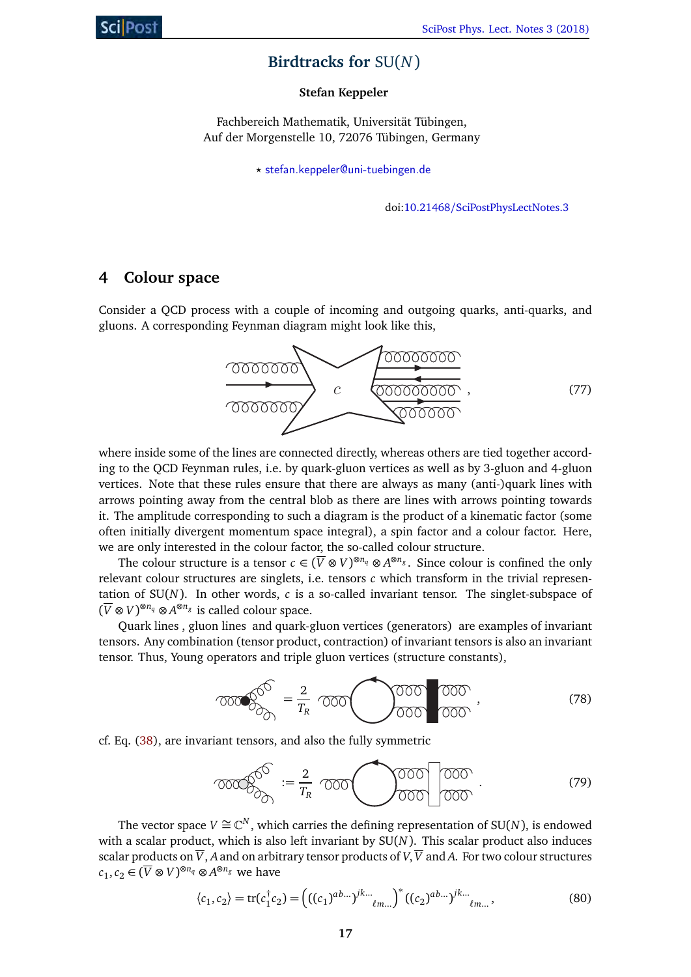# **Birdtracks for** SU(*N*)

## **Stefan Keppeler**

Fachbereich Mathematik, Universität Tübingen, Auf der Morgenstelle 10, 72076 Tübingen, Germany

*?* stefan.keppeler@uni-tuebingen.de

doi:10.21468/SciPostPhysLectNotes.3

# **4 Colour space**

Consider a QCD process with a couple of incoming and outgoing quarks, anti-quarks, and gluons. A corresponding Feynman diagram might look like this,



where inside some of the lines are connected directly, whereas others are tied together according to the QCD Feynman rules, i.e. by quark-gluon vertices as well as by 3-gluon and 4-gluon vertices. Note that these rules ensure that there are always as many (anti-)quark lines with arrows pointing away from the central blob as there are lines with arrows pointing towards it. The amplitude corresponding to such a diagram is the product of a kinematic factor (some often initially divergent momentum space integral), a spin factor and a colour factor. Here, we are only interested in the colour factor, the so-called colour structure.

The colour structure is a tensor  $c \in (\overline{V} \otimes V)^{\otimes n_q} \otimes A^{\otimes n_g}$ . Since colour is confined the only relevant colour structures are singlets, i.e. tensors *c* which transform in the trivial representation of  $SU(N)$ . In other words,  $c$  is a so-called invariant tensor. The singlet-subspace of  $(\overline{V} ⊗ V)^{®n_q} ⊗ A^®n_g$  is called colour space.

Quark lines , gluon lines and quark-gluon vertices (generators) are examples of invariant tensors. Any combination (tensor product, contraction) of invariant tensors is also an invariant tensor. Thus, Young operators and triple gluon vertices (structure constants),

<span id="page-0-0"></span>
$$
\widehat{OOOOO}^{\widehat{O}} = \frac{2}{T_R} \widehat{OOOO}^{\widehat{OOOO}} \widehat{OOO}^{\widehat{OOOO}} \,, \tag{78}
$$

cf. Eq. (38), are invariant tensors, and also the fully symmetric

$$
\text{Tr}(\widehat{\mathcal{O}_{\mathcal{O}_{\mathcal{O}_{\mathcal{O}}}}}^{\circledcirc} := \frac{2}{T_R} \text{Tr}(\widehat{\mathcal{O}_{\mathcal{O}_{\mathcal{O}}}}^{\circledcirc} \widehat{\mathcal{O}_{\mathcal{O}_{\mathcal{O}}}}^{\circledcirc} \widehat{\mathcal{O}_{\mathcal{O}_{\mathcal{O}}}}^{\circledcirc} \widehat{\mathcal{O}_{\mathcal{O}_{\mathcal{O}}}}^{\circledcirc} \widehat{\mathcal{O}_{\mathcal{O}_{\mathcal{O}}}}^{\circledcirc} \widehat{\mathcal{O}_{\mathcal{O}_{\mathcal{O}}}}^{\circledcirc} \widehat{\mathcal{O}_{\mathcal{O}_{\mathcal{O}}}}^{\circledcirc} \widehat{\mathcal{O}_{\mathcal{O}_{\mathcal{O}}}}^{\circledcirc} \widehat{\mathcal{O}_{\mathcal{O}_{\mathcal{O}}}}^{\circledcirc} \widehat{\mathcal{O}_{\mathcal{O}_{\mathcal{O}}}}^{\circledcirc} \widehat{\mathcal{O}_{\mathcal{O}_{\mathcal{O}}}}^{\circledcirc} \widehat{\mathcal{O}_{\mathcal{O}_{\mathcal{O}}}}^{\circledcirc} \widehat{\mathcal{O}_{\mathcal{O}_{\mathcal{O}}}}^{\circledcirc} \widehat{\mathcal{O}_{\mathcal{O}_{\mathcal{O}}}}^{\circledcirc} \widehat{\mathcal{O}_{\mathcal{O}_{\mathcal{O}}}}^{\circledcirc} \widehat{\mathcal{O}_{\mathcal{O}_{\mathcal{O}}}}^{\circledcirc} \widehat{\mathcal{O}_{\mathcal{O}_{\mathcal{O}}}}^{\circledcirc} \widehat{\mathcal{O}_{\mathcal{O}_{\mathcal{O}}}}^{\circledcirc} \widehat{\mathcal{O}_{\mathcal{O}_{\mathcal{O}}}}^{\circledcirc} \widehat{\mathcal{O}_{\mathcal{O}_{\mathcal{O}}}}^{\circledcirc} \widehat{\mathcal{O}_{\mathcal{O}_{\mathcal{O}}}}^{\circledcirc} \widehat{\mathcal{O}_{\mathcal{O}_{\mathcal{O}}}}^{\circledcirc} \widehat{\mathcal{O}_{\mathcal{O}_{\mathcal{O}}}}^{\circledcirc} \widehat{\mathcal{O}_{\mathcal{O}_{\mathcal{O}}}}^{\circledcirc} \widehat{\mathcal{O}_{\mathcal{O}_{\mathcal{O}}}}^{\circledcirc} \widehat{\mathcal{
$$

The vector space  $V \cong \mathbb{C}^N$ , which carries the defining representation of SU(*N*), is endowed with a scalar product, which is also left invariant by SU(*N*). This scalar product also induces scalar products on  $\overline{V}$ , A and on arbitrary tensor products of  $V$ ,  $\overline{V}$  and A. For two colour structures  $c_1, c_2$  ∈ ( $\overline{V}$  ⊗  $V$ )<sup>⊗*nq*</sup> ⊗ *A*<sup>⊗*ng*</sup> we have

$$
\langle c_1, c_2 \rangle = \text{tr}(c_1^{\dagger} c_2) = \left( ((c_1)^{ab...})^{jk...} \right)_{\ell m...}^* ((c_2)^{ab...})^{jk...} \right)_{\ell m...}, \tag{80}
$$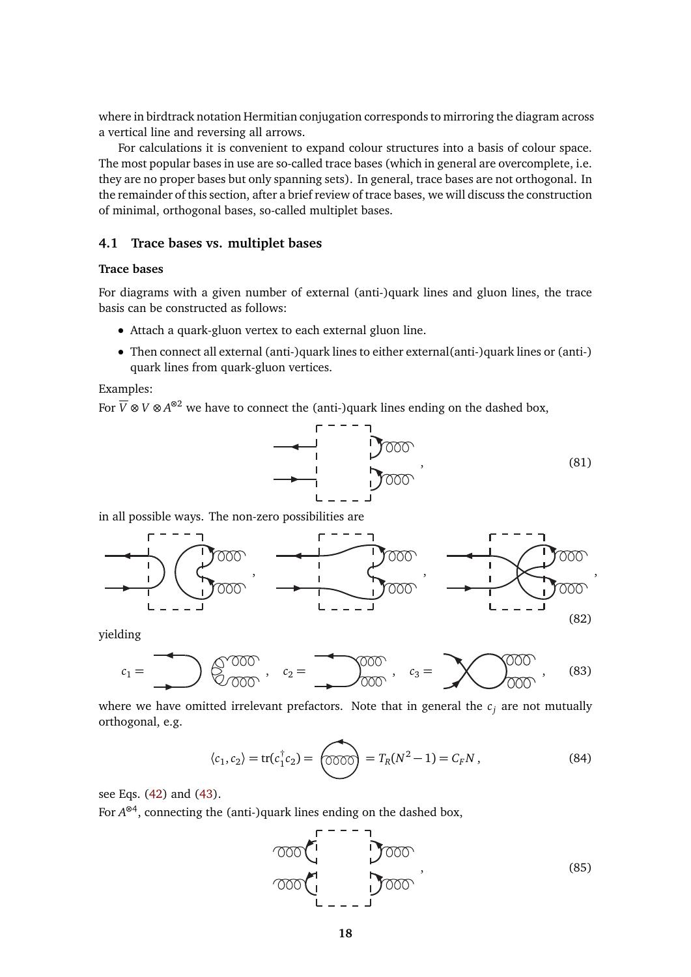where in birdtrack notation Hermitian conjugation corresponds to mirroring the diagram across a vertical line and reversing all arrows.

For calculations it is convenient to expand colour structures into a basis of colour space. The most popular bases in use are so-called trace bases (which in general are overcomplete, i.e. they are no proper bases but only spanning sets). In general, trace bases are not orthogonal. In the remainder of this section, after a brief review of trace bases, we will discuss the construction of minimal, orthogonal bases, so-called multiplet bases.

#### **4.1 Trace bases vs. multiplet bases**

### **Trace bases**

For diagrams with a given number of external (anti-)quark lines and gluon lines, the trace basis can be constructed as follows:

- Attach a quark-gluon vertex to each external gluon line.
- Then connect all external (anti-)quark lines to either external(anti-)quark lines or (anti-) quark lines from quark-gluon vertices.

Examples:

For  $\overline{V}$  ⊗ *V* ⊗ A<sup>⊗2</sup> we have to connect the (anti-)quark lines ending on the dashed box,



in all possible ways. The non-zero possibilities are



yielding



where we have omitted irrelevant prefactors. Note that in general the  $c_i$  are not mutually orthogonal, e.g.

$$
\langle c_1, c_2 \rangle = \text{tr}(c_1^\dagger c_2) = \text{OOOO} = T_R(N^2 - 1) = C_F N \,, \tag{84}
$$

see Eqs. (42) and (43).

For  $A^{\otimes 4}$ , connecting the (anti-)quark lines ending on the dashed box,

$$
\begin{array}{c}\n\begin{array}{c}\n\sqrt{1} & \sqrt{1} \\
\sqrt{1} & \sqrt{1} \\
\sqrt{1} & \sqrt{1} \\
\sqrt{1} & \sqrt{1} \\
\sqrt{1} & \sqrt{1} \\
\sqrt{1} & \sqrt{1} \\
\sqrt{1} & \sqrt{1} \\
\sqrt{1} & \sqrt{1} \\
\sqrt{1} & \sqrt{1} \\
\sqrt{1} & \sqrt{1} \\
\sqrt{1} & \sqrt{1} \\
\sqrt{1} & \sqrt{1} \\
\sqrt{1} & \sqrt{1} \\
\sqrt{1} & \sqrt{1} \\
\sqrt{1} & \sqrt{1} \\
\sqrt{1} & \sqrt{1} \\
\sqrt{1} & \sqrt{1} \\
\sqrt{1} & \sqrt{1} \\
\sqrt{1} & \sqrt{1} \\
\sqrt{1} & \sqrt{1} \\
\sqrt{1} & \sqrt{1} \\
\sqrt{1} & \sqrt{1} \\
\sqrt{1} & \sqrt{1} \\
\sqrt{1} & \sqrt{1} \\
\sqrt{1} & \sqrt{1} \\
\sqrt{1} & \sqrt{1} \\
\sqrt{1} & \sqrt{1} \\
\sqrt{1} & \sqrt{1} \\
\sqrt{1} & \sqrt{1} \\
\sqrt{1} & \sqrt{1} \\
\sqrt{1} & \sqrt{1} \\
\sqrt{1} & \sqrt{1} \\
\sqrt{1} & \sqrt{1} \\
\sqrt{1} & \sqrt{1} \\
\sqrt{1} & \sqrt{1} \\
\sqrt{1} & \sqrt{1} \\
\sqrt{1} & \sqrt{1} \\
\sqrt{1} & \sqrt{1} \\
\sqrt{1} & \sqrt{1} \\
\sqrt{1} & \sqrt{1} \\
\sqrt{1} & \sqrt{1} \\
\sqrt{1} & \sqrt{1} \\
\sqrt{1} & \sqrt{1} \\
\sqrt{1} & \sqrt{1} \\
\sqrt{1} & \sqrt{1} \\
\sqrt{1} & \sqrt{1} \\
\sqrt{1} & \sqrt{1} \\
\sqrt{1} & \sqrt{1} \\
\sqrt{1} & \sqrt{1} \\
\sqrt{1} & \sqrt{1} \\
\sqrt{1} & \sqrt{1} \\
\sqrt{1} & \sqrt{1} \\
\sqrt{1} & \sqrt{1} \\
\sqrt{1} & \sqrt{1} \\
\sqrt{1} & \sqrt{1} \\
\sqrt{1} & \sqrt{1} \\
\sqrt{1} & \sqrt{1} \\
\sqrt{1} & \sqrt{1} \\
\sqrt{1} & \sqrt{1} \\
\sqrt{1} & \sqrt{1} \\
\sqrt{1} & \sqrt{1} \\
\sqrt{1} & \sqrt{1} \\
$$